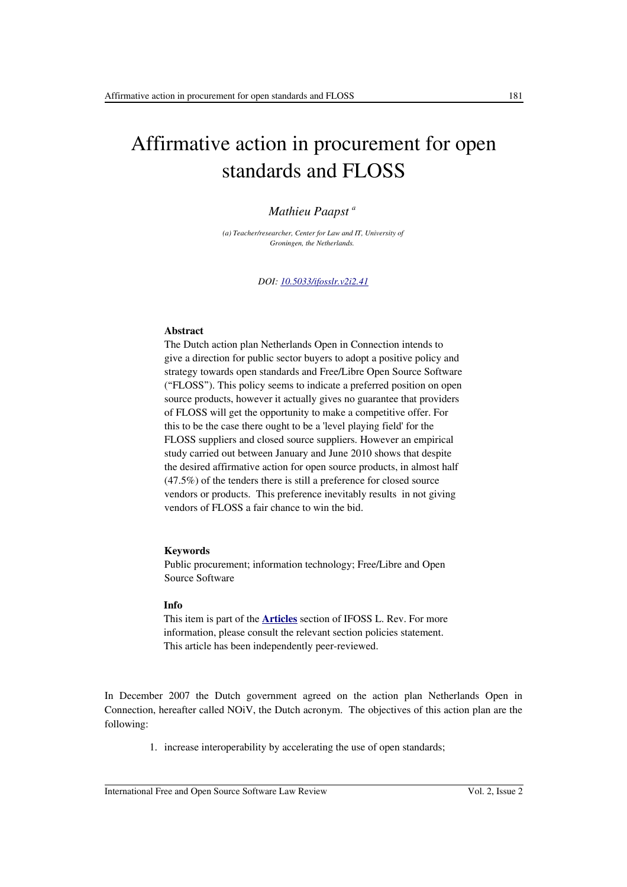# Affirmative action in procurement for open standards and FLOSS

## *Mathieu Paapst <sup>a</sup>*

*(a) Teacher/researcher, Center for Law and IT, University of Groningen, the Netherlands.* 

*DOI: [10.5033/ifosslr.v2i2.41](http://dx.doi.org/10.5033/ifosslr.v2i2.41)*

## **Abstract**

The Dutch action plan Netherlands Open in Connection intends to give a direction for public sector buyers to adopt a positive policy and strategy towards open standards and Free/Libre Open Source Software ("FLOSS"). This policy seems to indicate a preferred position on open source products, however it actually gives no guarantee that providers of FLOSS will get the opportunity to make a competitive offer. For this to be the case there ought to be a 'level playing field' for the FLOSS suppliers and closed source suppliers. However an empirical study carried out between January and June 2010 shows that despite the desired affirmative action for open source products, in almost half (47.5%) of the tenders there is still a preference for closed source vendors or products. This preference inevitably results in not giving vendors of FLOSS a fair chance to win the bid.

#### **Keywords**

Public procurement; information technology; Free/Libre and Open Source Software

#### **Info**

This item is part of the **[Articles](http://www.ifosslr.org/ifosslr/about/editorialPolicies#sectionPolicies)** section of IFOSS L. Rev. For more information, please consult the relevant section policies statement. This article has been independently peer-reviewed.

In December 2007 the Dutch government agreed on the action plan Netherlands Open in Connection, hereafter called NOiV, the Dutch acronym. The objectives of this action plan are the following:

1. increase interoperability by accelerating the use of open standards;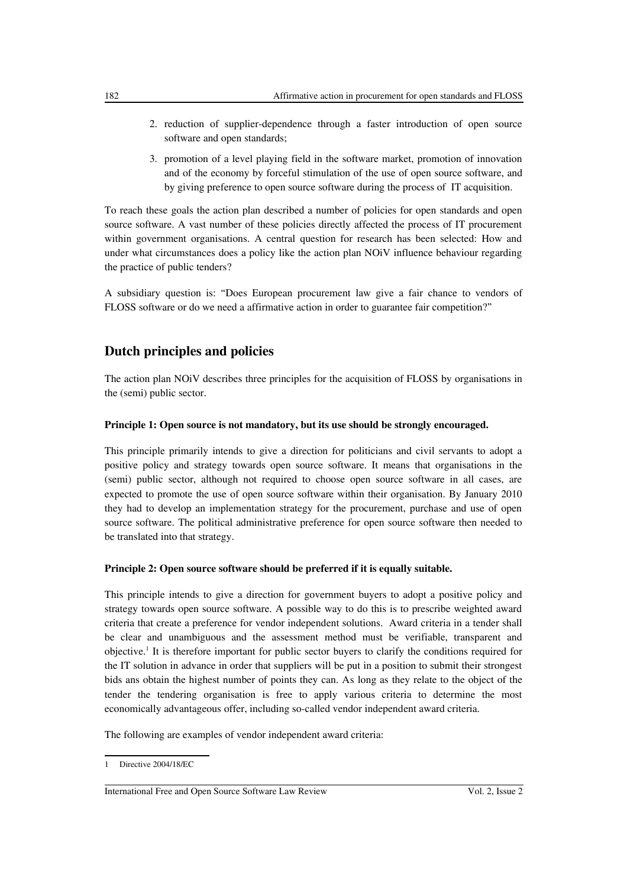- 2. reduction of supplier-dependence through a faster introduction of open source software and open standards;
- 3. promotion of a level playing field in the software market, promotion of innovation and of the economy by forceful stimulation of the use of open source software, and by giving preference to open source software during the process of IT acquisition.

To reach these goals the action plan described a number of policies for open standards and open source software. A vast number of these policies directly affected the process of IT procurement within government organisations. A central question for research has been selected: How and under what circumstances does a policy like the action plan NOiV influence behaviour regarding the practice of public tenders?

A subsidiary question is: "Does European procurement law give a fair chance to vendors of FLOSS software or do we need a affirmative action in order to guarantee fair competition?"

# **Dutch principles and policies**

The action plan NOiV describes three principles for the acquisition of FLOSS by organisations in the (semi) public sector.

### **Principle 1: Open source is not mandatory, but its use should be strongly encouraged.**

This principle primarily intends to give a direction for politicians and civil servants to adopt a positive policy and strategy towards open source software. It means that organisations in the (semi) public sector, although not required to choose open source software in all cases, are expected to promote the use of open source software within their organisation. By January 2010 they had to develop an implementation strategy for the procurement, purchase and use of open source software. The political administrative preference for open source software then needed to be translated into that strategy.

#### **Principle 2: Open source software should be preferred if it is equally suitable.**

This principle intends to give a direction for government buyers to adopt a positive policy and strategy towards open source software. A possible way to do this is to prescribe weighted award criteria that create a preference for vendor independent solutions. Award criteria in a tender shall be clear and unambiguous and the assessment method must be verifiable, transparent and objective.<sup>[1](#page-1-0)</sup> It is therefore important for public sector buyers to clarify the conditions required for the IT solution in advance in order that suppliers will be put in a position to submit their strongest bids ans obtain the highest number of points they can. As long as they relate to the object of the tender the tendering organisation is free to apply various criteria to determine the most economically advantageous offer, including so-called vendor independent award criteria.

The following are examples of vendor independent award criteria:

<span id="page-1-0"></span><sup>1</sup> Directive 2004/18/EC

International Free and Open Source Software Law Review Vol. 2, Issue 2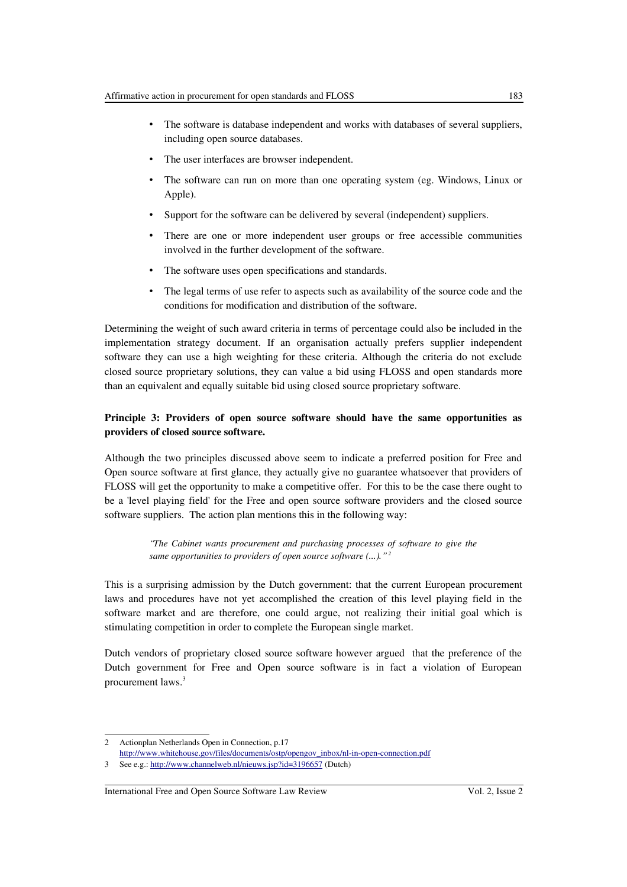- The software is database independent and works with databases of several suppliers, including open source databases.
- The user interfaces are browser independent.
- The software can run on more than one operating system (eg. Windows, Linux or Apple).
- Support for the software can be delivered by several (independent) suppliers.
- There are one or more independent user groups or free accessible communities involved in the further development of the software.
- The software uses open specifications and standards.
- The legal terms of use refer to aspects such as availability of the source code and the conditions for modification and distribution of the software.

Determining the weight of such award criteria in terms of percentage could also be included in the implementation strategy document. If an organisation actually prefers supplier independent software they can use a high weighting for these criteria. Although the criteria do not exclude closed source proprietary solutions, they can value a bid using FLOSS and open standards more than an equivalent and equally suitable bid using closed source proprietary software.

## **Principle 3: Providers of open source software should have the same opportunities as providers of closed source software.**

Although the two principles discussed above seem to indicate a preferred position for Free and Open source software at first glance, they actually give no guarantee whatsoever that providers of FLOSS will get the opportunity to make a competitive offer. For this to be the case there ought to be a 'level playing field' for the Free and open source software providers and the closed source software suppliers. The action plan mentions this in the following way:

> *"The Cabinet wants procurement and purchasing processes of software to give the same opportunities to providers of open source software (...)." [2](#page-2-0)*

This is a surprising admission by the Dutch government: that the current European procurement laws and procedures have not yet accomplished the creation of this level playing field in the software market and are therefore, one could argue, not realizing their initial goal which is stimulating competition in order to complete the European single market.

Dutch vendors of proprietary closed source software however argued that the preference of the Dutch government for Free and Open source software is in fact a violation of European procurement laws.<sup>[3](#page-2-1)</sup>

<span id="page-2-0"></span><sup>2</sup> Actionplan Netherlands Open in Connection, p.17

[http://www.whitehouse.gov/files/documents/ostp/opengov\\_inbox/nl-in-open-connection.pdf](http://www.whitehouse.gov/files/documents/ostp/opengov_inbox/nl-in-open-connection.pdf)

<span id="page-2-1"></span><sup>3</sup> See e.g.:<http://www.channelweb.nl/nieuws.jsp?id=3196657>(Dutch)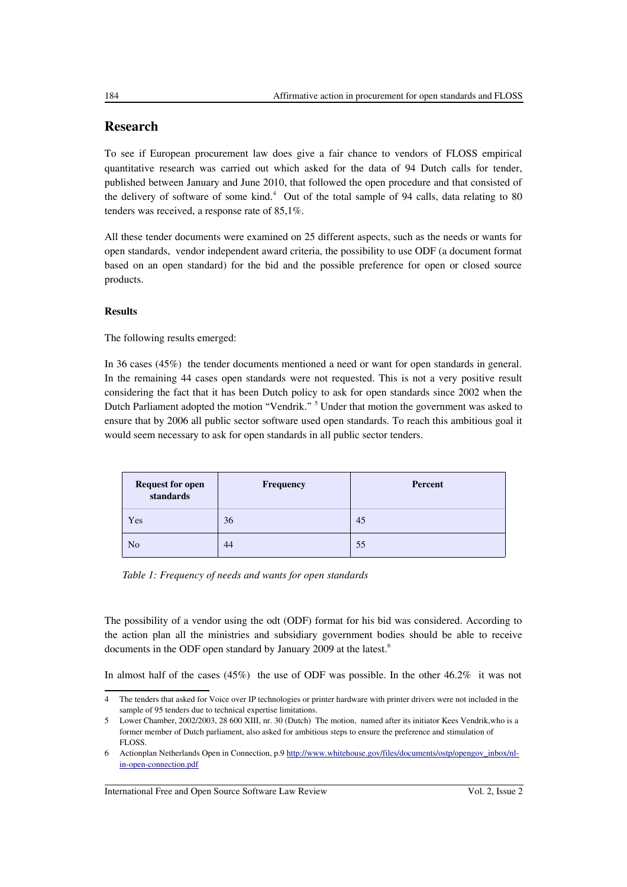## **Research**

To see if European procurement law does give a fair chance to vendors of FLOSS empirical quantitative research was carried out which asked for the data of 94 Dutch calls for tender, published between January and June 2010, that followed the open procedure and that consisted of the delivery of software of some kind.<sup>[4](#page-3-0)</sup> Out of the total sample of 94 calls, data relating to 80 tenders was received, a response rate of 85,1%.

All these tender documents were examined on 25 different aspects, such as the needs or wants for open standards, vendor independent award criteria, the possibility to use ODF (a document format based on an open standard) for the bid and the possible preference for open or closed source products.

## **Results**

The following results emerged:

In 36 cases (45%) the tender documents mentioned a need or want for open standards in general. In the remaining 44 cases open standards were not requested. This is not a very positive result considering the fact that it has been Dutch policy to ask for open standards since 2002 when the Dutch Parliament adopted the motion "Vendrik." <sup>[5](#page-3-1)</sup> Under that motion the government was asked to ensure that by 2006 all public sector software used open standards. To reach this ambitious goal it would seem necessary to ask for open standards in all public sector tenders.

| <b>Request for open<br/>standards</b> | <b>Frequency</b> | Percent |
|---------------------------------------|------------------|---------|
| Yes                                   | 36               | 45      |
| N <sub>o</sub>                        | 44               | 55      |

*Table 1: Frequency of needs and wants for open standards*

The possibility of a vendor using the odt (ODF) format for his bid was considered. According to the action plan all the ministries and subsidiary government bodies should be able to receive documents in the ODF open standard by January 2009 at the latest.<sup>[6](#page-3-2)</sup>

In almost half of the cases (45%) the use of ODF was possible. In the other 46.2% it was not

<span id="page-3-0"></span><sup>4</sup> The tenders that asked for Voice over IP technologies or printer hardware with printer drivers were not included in the sample of 95 tenders due to technical expertise limitations.

<span id="page-3-1"></span><sup>5</sup> Lower Chamber, 2002/2003, 28 600 XIII, nr. 30 (Dutch) The motion, named after its initiator Kees Vendrik,who is a former member of Dutch parliament, also asked for ambitious steps to ensure the preference and stimulation of FLOSS.

<span id="page-3-2"></span><sup>6</sup> Actionplan Netherlands Open in Connection, p.9 [http://www.whitehouse.gov/files/documents/ostp/opengov\\_inbox/nl](http://www.whitehouse.gov/files/documents/ostp/opengov_inbox/nl-in-open-connection.pdf)[in-open-connection.pdf](http://www.whitehouse.gov/files/documents/ostp/opengov_inbox/nl-in-open-connection.pdf)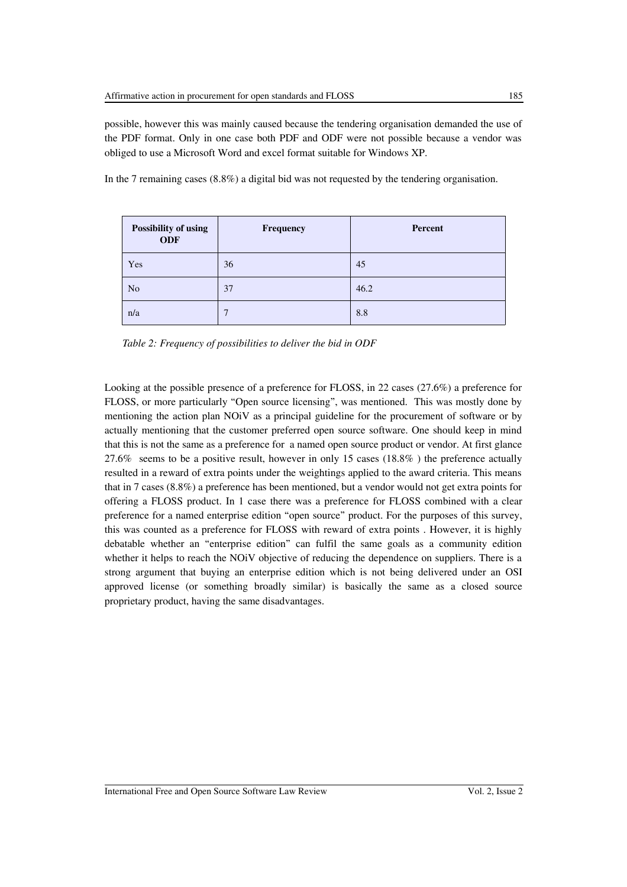possible, however this was mainly caused because the tendering organisation demanded the use of the PDF format. Only in one case both PDF and ODF were not possible because a vendor was obliged to use a Microsoft Word and excel format suitable for Windows XP.

In the 7 remaining cases (8.8%) a digital bid was not requested by the tendering organisation.

| Possibility of using<br><b>ODF</b> | Frequency | Percent |
|------------------------------------|-----------|---------|
| Yes                                | 36        | 45      |
| N <sub>o</sub>                     | 37        | 46.2    |
| n/a                                | 7         | 8.8     |

*Table 2: Frequency of possibilities to deliver the bid in ODF*

Looking at the possible presence of a preference for FLOSS, in 22 cases (27.6%) a preference for FLOSS, or more particularly "Open source licensing", was mentioned. This was mostly done by mentioning the action plan NOiV as a principal guideline for the procurement of software or by actually mentioning that the customer preferred open source software. One should keep in mind that this is not the same as a preference for a named open source product or vendor. At first glance 27.6% seems to be a positive result, however in only 15 cases (18.8% ) the preference actually resulted in a reward of extra points under the weightings applied to the award criteria. This means that in 7 cases (8.8%) a preference has been mentioned, but a vendor would not get extra points for offering a FLOSS product. In 1 case there was a preference for FLOSS combined with a clear preference for a named enterprise edition "open source" product. For the purposes of this survey, this was counted as a preference for FLOSS with reward of extra points . However, it is highly debatable whether an "enterprise edition" can fulfil the same goals as a community edition whether it helps to reach the NOiV objective of reducing the dependence on suppliers. There is a strong argument that buying an enterprise edition which is not being delivered under an OSI approved license (or something broadly similar) is basically the same as a closed source proprietary product, having the same disadvantages.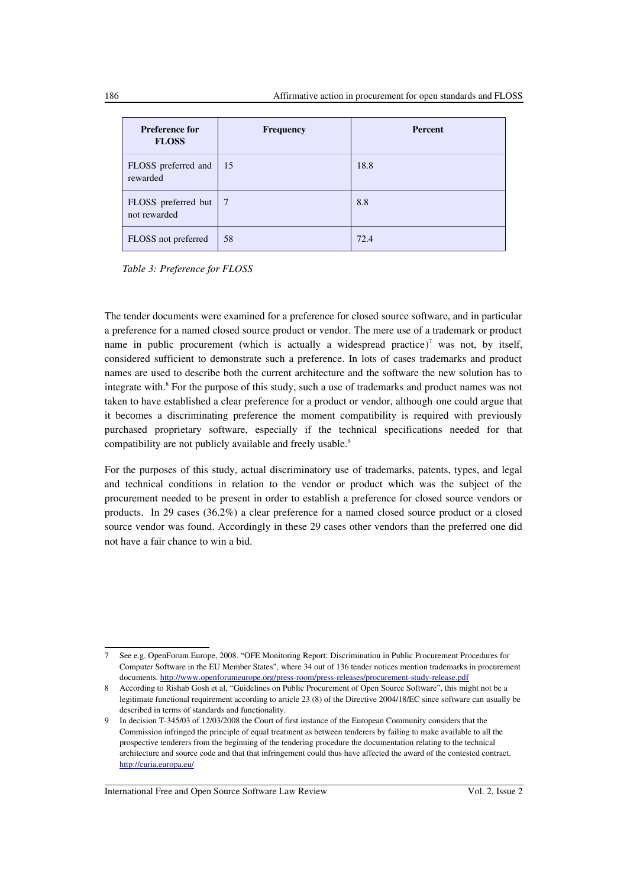| <b>Preference for</b><br><b>FLOSS</b>   | <b>Frequency</b> | Percent |
|-----------------------------------------|------------------|---------|
| FLOSS preferred and   15<br>rewarded    |                  | 18.8    |
| FLOSS preferred but   7<br>not rewarded |                  | 8.8     |
| FLOSS not preferred                     | 58               | 72.4    |

*Table 3: Preference for FLOSS* 

The tender documents were examined for a preference for closed source software, and in particular a preference for a named closed source product or vendor. The mere use of a trademark or product name in public procurement (which is actually a widespread practice)<sup>[7](#page-5-0)</sup> was not, by itself, considered sufficient to demonstrate such a preference. In lots of cases trademarks and product names are used to describe both the current architecture and the software the new solution has to integrate with.<sup>[8](#page-5-1)</sup> For the purpose of this study, such a use of trademarks and product names was not taken to have established a clear preference for a product or vendor, although one could argue that it becomes a discriminating preference the moment compatibility is required with previously purchased proprietary software, especially if the technical specifications needed for that compatibility are not publicly available and freely usable.<sup>[9](#page-5-2)</sup>

For the purposes of this study, actual discriminatory use of trademarks, patents, types, and legal and technical conditions in relation to the vendor or product which was the subject of the procurement needed to be present in order to establish a preference for closed source vendors or products. In 29 cases (36.2%) a clear preference for a named closed source product or a closed source vendor was found. Accordingly in these 29 cases other vendors than the preferred one did not have a fair chance to win a bid.

<span id="page-5-0"></span><sup>7</sup> See e.g. OpenForum Europe, 2008. "OFE Monitoring Report: Discrimination in Public Procurement Procedures for Computer Software in the EU Member States", where 34 out of 136 tender notices mention trademarks in procurement documents.<http://www.openforumeurope.org/press-room/press-releases/procurement-study-release.pdf>

<span id="page-5-1"></span><sup>8</sup> According to Rishab Gosh et al, "Guidelines on Public Procurement of Open Source Software", this might not be a legitimate functional requirement according to article 23 (8) of the Directive 2004/18/EC since software can usually be described in terms of standards and functionality.

<span id="page-5-2"></span><sup>9</sup> In decision T-345/03 of 12/03/2008 the Court of first instance of the European Community considers that the Commission infringed the principle of equal treatment as between tenderers by failing to make available to all the prospective tenderers from the beginning of the tendering procedure the documentation relating to the technical architecture and source code and that that infringement could thus have affected the award of the contested contract. <http://curia.europa.eu/>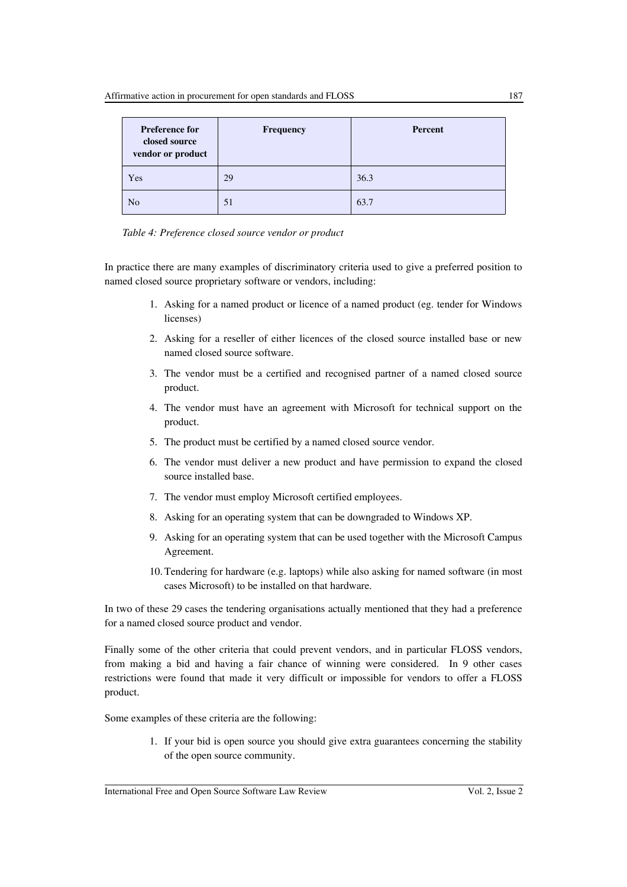| <b>Preference for</b><br>closed source<br>vendor or product | Frequency | Percent |
|-------------------------------------------------------------|-----------|---------|
| Yes                                                         | 29        | 36.3    |
| N <sub>o</sub>                                              | 51        | 63.7    |



In practice there are many examples of discriminatory criteria used to give a preferred position to named closed source proprietary software or vendors, including:

- 1. Asking for a named product or licence of a named product (eg. tender for Windows licenses)
- 2. Asking for a reseller of either licences of the closed source installed base or new named closed source software.
- 3. The vendor must be a certified and recognised partner of a named closed source product.
- 4. The vendor must have an agreement with Microsoft for technical support on the product.
- 5. The product must be certified by a named closed source vendor.
- 6. The vendor must deliver a new product and have permission to expand the closed source installed base.
- 7. The vendor must employ Microsoft certified employees.
- 8. Asking for an operating system that can be downgraded to Windows XP.
- 9. Asking for an operating system that can be used together with the Microsoft Campus Agreement.
- 10. Tendering for hardware (e.g. laptops) while also asking for named software (in most cases Microsoft) to be installed on that hardware.

In two of these 29 cases the tendering organisations actually mentioned that they had a preference for a named closed source product and vendor.

Finally some of the other criteria that could prevent vendors, and in particular FLOSS vendors, from making a bid and having a fair chance of winning were considered. In 9 other cases restrictions were found that made it very difficult or impossible for vendors to offer a FLOSS product.

Some examples of these criteria are the following:

1. If your bid is open source you should give extra guarantees concerning the stability of the open source community.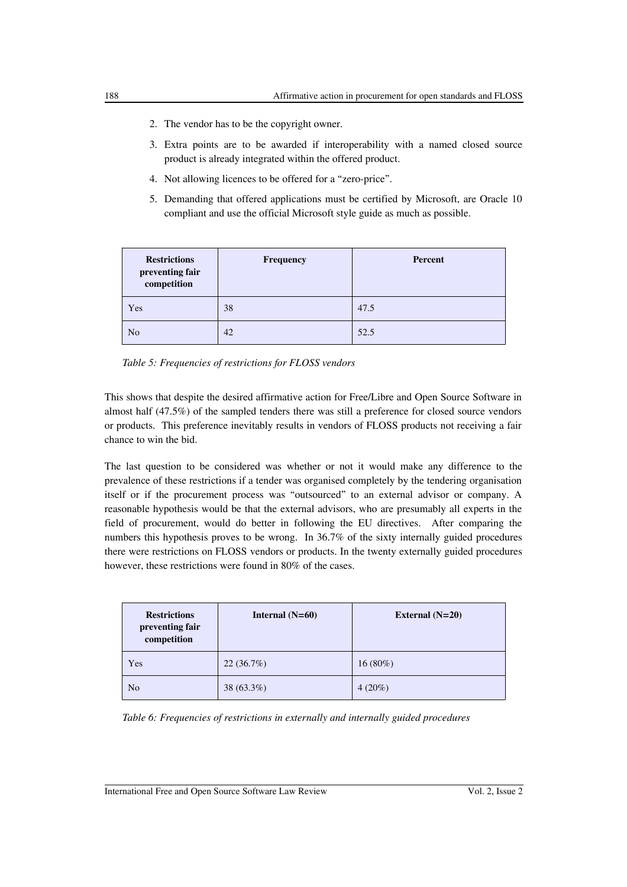- 2. The vendor has to be the copyright owner.
- 3. Extra points are to be awarded if interoperability with a named closed source product is already integrated within the offered product.
- 4. Not allowing licences to be offered for a "zero-price".
- 5. Demanding that offered applications must be certified by Microsoft, are Oracle 10 compliant and use the official Microsoft style guide as much as possible.

| <b>Restrictions</b><br>preventing fair<br>competition | <b>Frequency</b> | Percent |
|-------------------------------------------------------|------------------|---------|
| Yes                                                   | 38               | 47.5    |
| N <sub>o</sub>                                        | 42               | 52.5    |

*Table 5: Frequencies of restrictions for FLOSS vendors* 

This shows that despite the desired affirmative action for Free/Libre and Open Source Software in almost half (47.5%) of the sampled tenders there was still a preference for closed source vendors or products. This preference inevitably results in vendors of FLOSS products not receiving a fair chance to win the bid.

The last question to be considered was whether or not it would make any difference to the prevalence of these restrictions if a tender was organised completely by the tendering organisation itself or if the procurement process was "outsourced" to an external advisor or company. A reasonable hypothesis would be that the external advisors, who are presumably all experts in the field of procurement, would do better in following the EU directives. After comparing the numbers this hypothesis proves to be wrong. In 36.7% of the sixty internally guided procedures there were restrictions on FLOSS vendors or products. In the twenty externally guided procedures however, these restrictions were found in 80% of the cases.

| <b>Restrictions</b><br>preventing fair<br>competition | Internal $(N=60)$ | External $(N=20)$ |
|-------------------------------------------------------|-------------------|-------------------|
| Yes                                                   | 22(36.7%)         | $16(80\%)$        |
| N <sub>o</sub>                                        | 38 (63.3%)        | $4(20\%)$         |

*Table 6: Frequencies of restrictions in externally and internally guided procedures*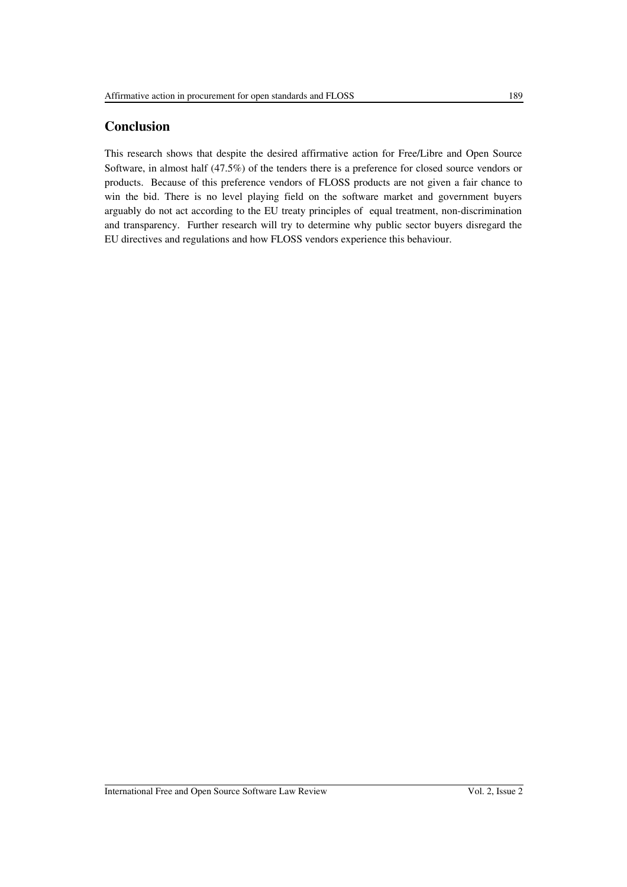# **Conclusion**

This research shows that despite the desired affirmative action for Free/Libre and Open Source Software, in almost half (47.5%) of the tenders there is a preference for closed source vendors or products. Because of this preference vendors of FLOSS products are not given a fair chance to win the bid. There is no level playing field on the software market and government buyers arguably do not act according to the EU treaty principles of equal treatment, non-discrimination and transparency. Further research will try to determine why public sector buyers disregard the EU directives and regulations and how FLOSS vendors experience this behaviour.